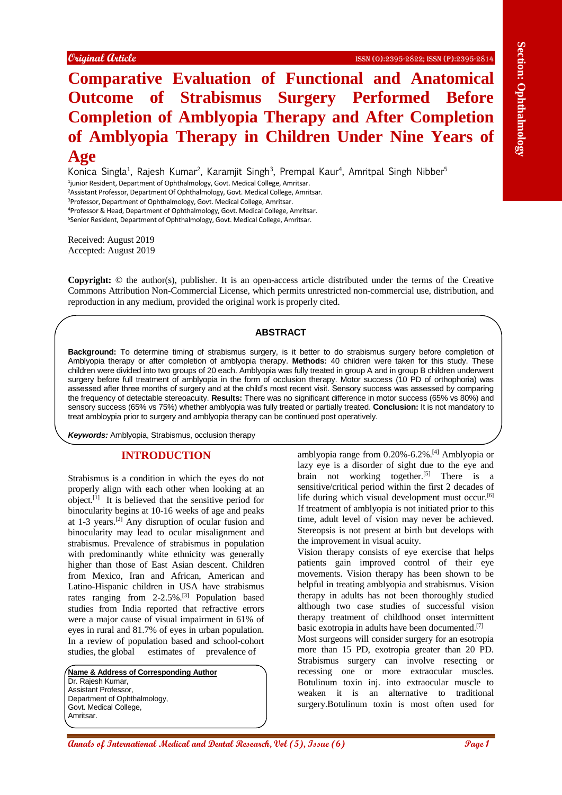# **Comparison Conserverse Comparison Comparison Comparison Comparison Comparison Comparison Comparison Comparison Comparison Comparison Comparison Comparison Comparison Comparison Comparison Comparison Comparison Comparison Comparative Evaluation of Functional and Anatomical Outcome of Strabismus Surgery Performed Before Completion of Amblyopia Therapy and After Completion of Amblyopia Therapy in Children Under Nine Years of Age**

Konica Singla<sup>1</sup>, Rajesh Kumar<sup>2</sup>, Karamjit Singh<sup>3</sup>, Prempal Kaur<sup>4</sup>, Amritpal Singh Nibber<sup>5</sup> <sup>1</sup>junior Resident, Department of Ophthalmology, Govt. Medical College, Amritsar. <sup>2</sup>Assistant Professor, Department Of Ophthalmology, Govt. Medical College, Amritsar. <sup>3</sup>Professor, Department of Ophthalmology, Govt. Medical College, Amritsar. <sup>4</sup>Professor & Head, Department of Ophthalmology, Govt. Medical College, Amritsar. <sup>5</sup>Senior Resident, Department of Ophthalmology, Govt. Medical College, Amritsar.

Received: August 2019 Accepted: August 2019

**Copyright:** © the author(s), publisher. It is an open-access article distributed under the terms of the Creative Commons Attribution Non-Commercial License, which permits unrestricted non-commercial use, distribution, and reproduction in any medium, provided the original work is properly cited.

# **ABSTRACT**

**Background:** To determine timing of strabismus surgery, is it better to do strabismus surgery before completion of Amblyopia therapy or after completion of amblyopia therapy. **Methods:** 40 children were taken for this study. These children were divided into two groups of 20 each. Amblyopia was fully treated in group A and in group B children underwent surgery before full treatment of amblyopia in the form of occlusion therapy. Motor success (10 PD of orthophoria) was assessed after three months of surgery and at the child's most recent visit. Sensory success was assessed by comparing the frequency of detectable stereoacuity. **Results:** There was no significant difference in motor success (65% vs 80%) and sensory success (65% vs 75%) whether amblyopia was fully treated or partially treated. **Conclusion:** It is not mandatory to treat ambloypia prior to surgery and amblyopia therapy can be continued post operatively.

*Keywords:* Amblyopia, Strabismus, occlusion therapy

# **INTRODUCTION**

Strabismus is a condition in which the eyes do not properly align with each other when looking at an object. [1] It is believed that the sensitive period for binocularity begins at 10-16 weeks of age and peaks at 1-3 years.[2] Any disruption of ocular fusion and binocularity may lead to ocular misalignment and strabismus. Prevalence of strabismus in population with predominantly white ethnicity was generally higher than those of East Asian descent. Children from Mexico, Iran and African, American and Latino-Hispanic children in USA have strabismus rates ranging from 2-2.5%.[3] Population based studies from India reported that refractive errors were a major cause of visual impairment in 61% of eyes in rural and 81.7% of eyes in urban population. In a review of population based and school-cohort studies, the global estimates of prevalence of

**Name & Address of Corresponding Author** Dr. Rajesh Kumar, Assistant Professor, Department of Ophthalmology, Govt. Medical College, Amritsar.

amblyopia range from 0.20%-6.2%. [4] Amblyopia or lazy eye is a disorder of sight due to the eye and brain not working together.<sup>[5]</sup> There is a sensitive/critical period within the first 2 decades of life during which visual development must occur. [6] If treatment of amblyopia is not initiated prior to this time, adult level of vision may never be achieved. Stereopsis is not present at birth but develops with the improvement in visual acuity.

Vision therapy consists of eye exercise that helps patients gain improved control of their eye movements. Vision therapy has been shown to be helpful in treating amblyopia and strabismus. Vision therapy in adults has not been thoroughly studied although two case studies of successful vision therapy treatment of childhood onset intermittent basic exotropia in adults have been documented.[7]

Most surgeons will consider surgery for an esotropia more than 15 PD, exotropia greater than 20 PD. Strabismus surgery can involve resecting or recessing one or more extraocular muscles. Botulinum toxin inj. into extraocular muscle to weaken it is an alternative to traditional surgery.Botulinum toxin is most often used for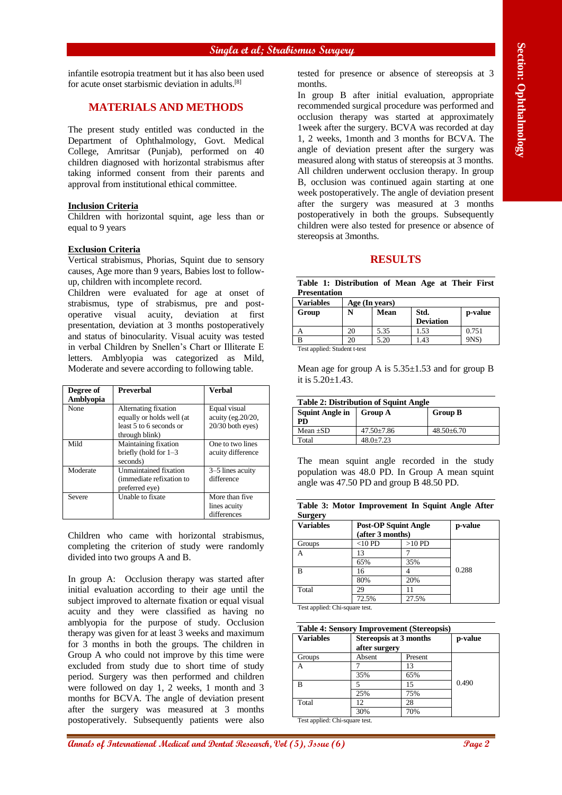infantile esotropia treatment but it has also been used for acute onset starbismic deviation in adults. [8]

# **MATERIALS AND METHODS**

The present study entitled was conducted in the Department of Ophthalmology, Govt. Medical College, Amritsar (Punjab), performed on 40 children diagnosed with horizontal strabismus after taking informed consent from their parents and approval from institutional ethical committee.

### **Inclusion Criteria**

Children with horizontal squint, age less than or equal to 9 years

### **Exclusion Criteria**

Vertical strabismus, Phorias, Squint due to sensory causes, Age more than 9 years, Babies lost to followup, children with incomplete record.

Children were evaluated for age at onset of strabismus, type of strabismus, pre and postoperative visual acuity, deviation at first presentation, deviation at 3 months postoperatively and status of binocularity. Visual acuity was tested in verbal Children by Snellen's Chart or Illiterate E letters. Amblyopia was categorized as Mild, Moderate and severe according to following table.

| Degree of<br>Amblyopia | <b>Preverbal</b>                                                                               | <b>Verbal</b>                                            |
|------------------------|------------------------------------------------------------------------------------------------|----------------------------------------------------------|
| None                   | Alternating fixation<br>equally or holds well (at<br>least 5 to 6 seconds or<br>through blink) | Equal visual<br>acuity (eg. 20/20,<br>$20/30$ both eyes) |
| Mild                   | Maintaining fixation<br>briefly (hold for $1-3$<br>seconds)                                    | One to two lines<br>acuity difference                    |
| Moderate               | <b>Unmaintained fixation</b><br>(immediate refixation to<br>preferred eye)                     | 3–5 lines acuity<br>difference                           |
| Severe                 | Unable to fixate                                                                               | More than five<br>lines acuity<br>differences            |

Children who came with horizontal strabismus, completing the criterion of study were randomly divided into two groups A and B.

**Annals of International State College and Dental State College and College and College and College and College and College and College and College and College and College and College and College and College and College an** In group A: Occlusion therapy was started after initial evaluation according to their age until the subject improved to alternate fixation or equal visual acuity and they were classified as having no amblyopia for the purpose of study. Occlusion therapy was given for at least 3 weeks and maximum for 3 months in both the groups. The children in Group A who could not improve by this time were excluded from study due to short time of study period. Surgery was then performed and children were followed on day 1, 2 weeks, 1 month and 3 months for BCVA. The angle of deviation present after the surgery was measured at 3 months postoperatively. Subsequently patients were also

tested for presence or absence of stereopsis at 3 months.

In group B after initial evaluation, appropriate recommended surgical procedure was performed and occlusion therapy was started at approximately 1week after the surgery. BCVA was recorded at day 1, 2 weeks, 1month and 3 months for BCVA. The angle of deviation present after the surgery was measured along with status of stereopsis at 3 months. All children underwent occlusion therapy. In group B, occlusion was continued again starting at one week postoperatively. The angle of deviation present after the surgery was measured at 3 months postoperatively in both the groups. Subsequently children were also tested for presence or absence of stereopsis at 3months.

# **RESULTS**

|                     | Table 1: Distribution of Mean Age at Their First |  |  |  |
|---------------------|--------------------------------------------------|--|--|--|
| <b>Presentation</b> |                                                  |  |  |  |

| <b>Variables</b>             | Age (In years) |      |                  |         |  |
|------------------------------|----------------|------|------------------|---------|--|
| Group                        |                | Mean | Std.             | p-value |  |
|                              |                |      | <b>Deviation</b> |         |  |
|                              |                | 5.35 | 1.53             | 0.751   |  |
|                              |                | 5.20 | 1.43             | 9NS)    |  |
| Toot annibade Condant to the |                |      |                  |         |  |

Test applied: Student t-tes

Mean age for group A is  $5.35 \pm 1.53$  and for group B it is 5.20±1.43.

### **Table 2: Distribution of Squint Angle**

| Squint Angle in<br>PD | <b>Group A</b>   | <b>Group B</b>   |
|-----------------------|------------------|------------------|
| Mean $\pm SD$         | $47.50 \pm 7.86$ | $48.50 \pm 6.70$ |
| Total                 | $48.0 \pm 7.23$  |                  |

The mean squint angle recorded in the study population was 48.0 PD. In Group A mean squint angle was 47.50 PD and group B 48.50 PD.

|         |  | Table 3: Motor Improvement In Squint Angle After |  |  |
|---------|--|--------------------------------------------------|--|--|
| Surgery |  |                                                  |  |  |

| ౼<br><b>Variables</b> | <b>Post-OP Squint Angle</b><br>(after 3 months) | p-value  |       |  |
|-----------------------|-------------------------------------------------|----------|-------|--|
| Groups                | $<$ 10 PD                                       | $>10$ PD |       |  |
|                       | 13                                              |          |       |  |
|                       | 65%                                             | 35%      |       |  |
| В                     | 16                                              |          | 0.288 |  |
|                       | 80%                                             | 20%      |       |  |
| Total                 | 29                                              |          |       |  |
|                       | 72.5%                                           | 27.5%    |       |  |

Test applied: Chi-square test.

| <b>Table 4: Sensory Improvement (Stereopsis)</b> |                                                |         |       |  |  |
|--------------------------------------------------|------------------------------------------------|---------|-------|--|--|
| <b>Variables</b>                                 | <b>Stereopsis at 3 months</b><br>after surgery | p-value |       |  |  |
| Groups                                           | Absent                                         | Present |       |  |  |
|                                                  |                                                | 13      |       |  |  |
|                                                  | 35%                                            | 65%     |       |  |  |
| в                                                |                                                | 15      | 0.490 |  |  |
|                                                  | 25%                                            | 75%     |       |  |  |
| Total                                            | 12.                                            | 28      |       |  |  |
|                                                  | 30%                                            | 70%     |       |  |  |
| — <u>.</u>                                       |                                                |         |       |  |  |

Test applied: Chi-square test.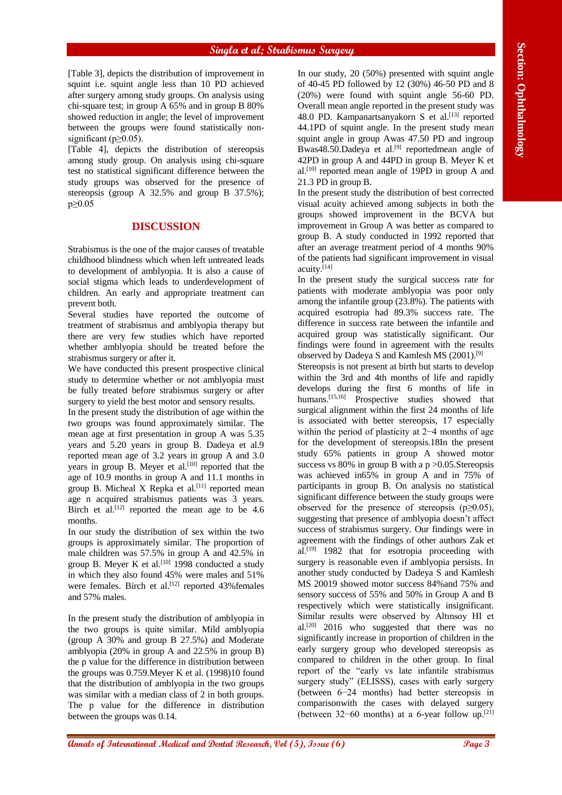[Table 3], depicts the distribution of improvement in squint i.e. squint angle less than 10 PD achieved after surgery among study groups. On analysis using chi-square test; in group A 65% and in group B 80% showed reduction in angle; the level of improvement between the groups were found statistically nonsignificant ( $p \ge 0.05$ ).

[Table 4], depicts the distribution of stereopsis among study group. On analysis using chi-square test no statistical significant difference between the study groups was observed for the presence of stereopsis (group A 32.5% and group B 37.5%); p≥0.05

### **DISCUSSION**

Strabismus is the one of the major causes of treatable childhood blindness which when left untreated leads to development of amblyopia. It is also a cause of social stigma which leads to underdevelopment of children. An early and appropriate treatment can prevent both.

Several studies have reported the outcome of treatment of strabismus and amblyopia therapy but there are very few studies which have reported whether amblyopia should be treated before the strabismus surgery or after it.

We have conducted this present prospective clinical study to determine whether or not amblyopia must be fully treated before strabismus surgery or after surgery to yield the best motor and sensory results.

In the present study the distribution of age within the two groups was found approximately similar. The mean age at first presentation in group A was 5.35 years and 5.20 years in group B. Dadeya et al.9 reported mean age of 3.2 years in group A and 3.0 years in group B. Meyer et al. $[10]$  reported that the age of 10.9 months in group A and 11.1 months in group B. Micheal X Repka et al.<sup>[11]</sup> reported mean age n acquired strabismus patients was 3 years. Birch et al.<sup>[12]</sup> reported the mean age to be 4.6 months.

In our study the distribution of sex within the two groups is approximately similar. The proportion of male children was 57.5% in group A and 42.5% in group B. Meyer K et al.<sup>[10]</sup> 1998 conducted a study in which they also found 45% were males and 51% were females. Birch et al.<sup>[12]</sup> reported 43%females and 57% males.

In the present study the distribution of amblyopia in the two groups is quite similar. Mild amblyopia (group A 30% and group B 27.5%) and Moderate amblyopia (20% in group A and 22.5% in group B) the p value for the difference in distribution between the groups was 0.759.Meyer K et al. (1998)10 found that the distribution of amblyopia in the two groups was similar with a median class of 2 in both groups. The p value for the difference in distribution between the groups was 0.14.

In our study, 20 (50%) presented with squint angle of 40-45 PD followed by 12 (30%) 46-50 PD and 8 (20%) were found with squint angle 56-60 PD. Overall mean angle reported in the present study was 48.0 PD. Kampanartsanyakorn S et al.<sup>[13]</sup> reported 44.1PD of squint angle. In the present study mean squint angle in group Awas 47.50 PD and ingroup Bwas48.50.Dadeya et al.<sup>[9]</sup> reportedmean angle of 42PD in group A and 44PD in group B. Meyer K et al.<sup>[10]</sup> reported mean angle of  $19PD$  in group A and 21.3 PD in group B.

In the present study the distribution of best corrected visual acuity achieved among subjects in both the groups showed improvement in the BCVA but improvement in Group A was better as compared to group B. A study conducted in 1992 reported that after an average treatment period of 4 months 90% of the patients had significant improvement in visual acuity.[14]

In the present study the surgical success rate for patients with moderate amblyopia was poor only among the infantile group (23.8%). The patients with acquired esotropia had 89.3% success rate. The difference in success rate between the infantile and acquired group was statistically significant. Our findings were found in agreement with the results observed by Dadeya S and Kamlesh MS (2001).[9]

**This 1)** *Are constrained and the section of Are not the Section of Are not the Section of Are not the Section of Are not the Section of Are not the Section of Are not the Section of Are not the Section of Are not the Sec* Stereopsis is not present at birth but starts to develop within the 3rd and 4th months of life and rapidly develops during the first 6 months of life in humans.<sup>[15,16]</sup> Prospective studies showed that surgical alignment within the first 24 months of life is associated with better stereopsis, 17 especially within the period of plasticity at 2−4 months of age for the development of stereopsis.18In the present study 65% patients in group A showed motor success vs  $80\%$  in group B with a p  $>0.05$ . Stereopsis was achieved in65% in group A and in 75% of participants in group B. On analysis no statistical significant difference between the study groups were observed for the presence of stereopsis ( $p \geq 0.05$ ), suggesting that presence of amblyopia doesn't affect success of strabismus surgery. Our findings were in agreement with the findings of other authors Zak et al.[19] 1982 that for esotropia proceeding with surgery is reasonable even if amblyopia persists. In another study conducted by Dadeya S and Kamlesh MS 20019 showed motor success 84%and 75% and sensory success of 55% and 50% in Group A and B respectively which were statistically insignificant. Similar results were observed by Altınsoy HI et al.[20] 2016 who suggested that there was no significantly increase in proportion of children in the early surgery group who developed stereopsis as compared to children in the other group. In final report of the "early vs late infantile strabismus surgery study" (ELISSS), cases with early surgery (between 6−24 months) had better stereopsis in comparisonwith the cases with delayed surgery (between 32−60 months) at a 6-year follow up.[21]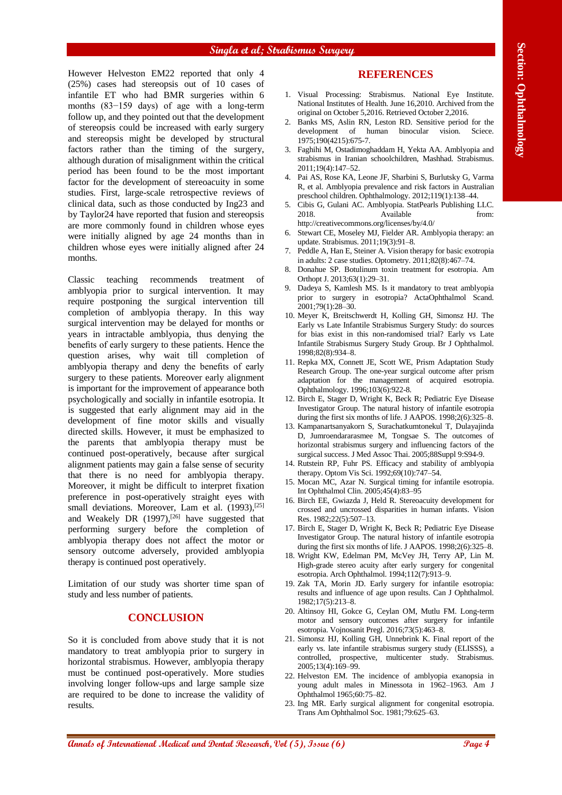However Helveston EM22 reported that only 4 (25%) cases had stereopsis out of 10 cases of infantile ET who had BMR surgeries within 6 months (83−159 days) of age with a long-term follow up, and they pointed out that the development of stereopsis could be increased with early surgery and stereopsis might be developed by structural factors rather than the timing of the surgery, although duration of misalignment within the critical period has been found to be the most important factor for the development of stereoacuity in some studies. First, large-scale retrospective reviews of clinical data, such as those conducted by Ing23 and by Taylor24 have reported that fusion and stereopsis are more commonly found in children whose eyes were initially aligned by age 24 months than in children whose eyes were initially aligned after 24 months.

**Alarac Medical and Dental and Dental and Dental and Dental and Dental and Dental and Dental and Dental and Dental and Dental and Dental and Dental and Dental and Dental and Dental and Dental and Dental and Dental and Den** Classic teaching recommends treatment of amblyopia prior to surgical intervention. It may require postponing the surgical intervention till completion of amblyopia therapy. In this way surgical intervention may be delayed for months or years in intractable amblyopia, thus denying the benefits of early surgery to these patients. Hence the question arises, why wait till completion of amblyopia therapy and deny the benefits of early surgery to these patients. Moreover early alignment is important for the improvement of appearance both psychologically and socially in infantile esotropia. It is suggested that early alignment may aid in the development of fine motor skills and visually directed skills. However, it must be emphasized to the parents that amblyopia therapy must be continued post-operatively, because after surgical alignment patients may gain a false sense of security that there is no need for amblyopia therapy. Moreover, it might be difficult to interpret fixation preference in post-operatively straight eyes with small deviations. Moreover, Lam et al. (1993),<sup>[25]</sup> and Weakely DR (1997),<sup>[26]</sup> have suggested that performing surgery before the completion of amblyopia therapy does not affect the motor or sensory outcome adversely, provided amblyopia therapy is continued post operatively.

Limitation of our study was shorter time span of study and less number of patients.

# **CONCLUSION**

So it is concluded from above study that it is not mandatory to treat amblyopia prior to surgery in horizontal strabismus. However, amblyopia therapy must be continued post-operatively. More studies involving longer follow-ups and large sample size are required to be done to increase the validity of results.

# **REFERENCES**

- 1. Visual Processing: Strabismus. National Eye Institute. National Institutes of Health. June 16,2010. Archived from the original on October 5,2016. Retrieved October 2,2016.
- 2. Banks MS, Aslin RN, Leston RD. Sensitive period for the development of human binocular vision. Sciece. 1975;190(4215):675-7.
- 3. Faghihi M, Ostadimoghaddam H, Yekta AA. Amblyopia and strabismus in Iranian schoolchildren, Mashhad. Strabismus. 2011;19(4):147–52.
- 4. Pai AS, Rose KA, Leone JF, Sharbini S, Burlutsky G, Varma R, et al. Amblyopia prevalence and risk factors in Australian preschool children. Ophthalmology. 2012;119(1):138–44.
- 5. Cibis G, Gulani AC. Amblyopia. StatPearls Publishing LLC. 2018. Available from: http://creativecommons.org/licenses/by/4.0/
- 6. Stewart CE, Moseley MJ, Fielder AR. Amblyopia therapy: an update. Strabismus. 2011;19(3):91–8.
- 7. Peddle A, Han E, Steiner A. Vision therapy for basic exotropia in adults: 2 case studies. Optometry. 2011;82(8):467–74.
- 8. Donahue SP. Botulinum toxin treatment for esotropia. Am Orthopt J. 2013;63(1):29–31.
- 9. Dadeya S, Kamlesh MS. Is it mandatory to treat amblyopia prior to surgery in esotropia? ActaOphthalmol Scand. 2001;79(1):28–30.
- 10. Meyer K, Breitschwerdt H, Kolling GH, Simonsz HJ. The Early vs Late Infantile Strabismus Surgery Study: do sources for bias exist in this non-randomised trial? Early vs Late Infantile Strabismus Surgery Study Group. Br J Ophthalmol. 1998;82(8):934–8.
- 11. Repka MX, Connett JE, Scott WE, Prism Adaptation Study Research Group. The one-year surgical outcome after prism adaptation for the management of acquired esotropia. Ophthalmology. 1996;103(6):922-8.
- 12. Birch E, Stager D, Wright K, Beck R; Pediatric Eye Disease Investigator Group. The natural history of infantile esotropia during the first six months of life. J AAPOS.  $1998:2(6):325-8$ .
- 13. Kampanartsanyakorn S, Surachatkumtonekul T, Dulayajinda D, Jumroendararasmee M, Tongsae S. The outcomes of horizontal strabismus surgery and influencing factors of the surgical success. J Med Assoc Thai. 2005;88Suppl 9:S94-9.
- 14. Rutstein RP, Fuhr PS. Efficacy and stability of amblyopia therapy. Optom Vis Sci. 1992;69(10):747–54.
- 15. Mocan MC, Azar N. Surgical timing for infantile esotropia. Int Ophthalmol Clin. 2005;45(4):83–95
- 16. Birch EE, Gwiazda J, Held R. Stereoacuity development for crossed and uncrossed disparities in human infants. Vision Res. 1982;22(5):507–13.
- 17. Birch E, Stager D, Wright K, Beck R; Pediatric Eye Disease Investigator Group. The natural history of infantile esotropia during the first six months of life. J AAPOS.  $1998;2(6):325-8$ .
- 18. Wright KW, Edelman PM, McVey JH, Terry AP, Lin M. High-grade stereo acuity after early surgery for congenital esotropia. Arch Ophthalmol. 1994;112(7):913–9.
- 19. Zak TA, Morin JD. Early surgery for infantile esotropia: results and influence of age upon results. Can J Ophthalmol. 1982;17(5):213–8.
- 20. Altinsoy HI, Gokce G, Ceylan OM, Mutlu FM. Long-term motor and sensory outcomes after surgery for infantile esotropia. Vojnosanit Pregl. 2016;73(5):463–8.
- 21. Simonsz HJ, Kolling GH, Unnebrink K. Final report of the early vs. late infantile strabismus surgery study (ELISSS), a controlled, prospective, multicenter study. Strabismus. 2005;13(4):169–99.
- 22. Helveston EM. The incidence of amblyopia exanopsia in young adult males in Minessota in 1962–1963. Am J Ophthalmol 1965;60:75–82.
- 23. Ing MR. Early surgical alignment for congenital esotropia. Trans Am Ophthalmol Soc. 1981;79:625–63.